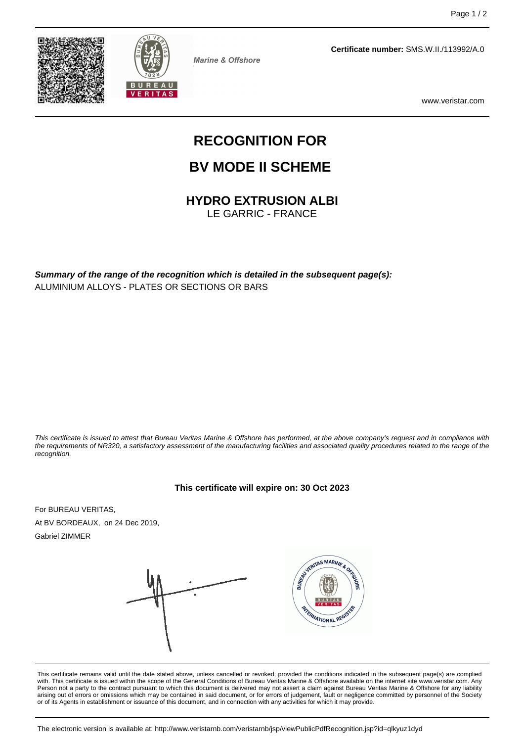



**Marine & Offshore** 

**Certificate number:** SMS.W.II./113992/A.0

www.veristar.com

# **RECOGNITION FOR**

## **BV MODE II SCHEME**

**HYDRO EXTRUSION ALBI**

LE GARRIC - FRANCE

**Summary of the range of the recognition which is detailed in the subsequent page(s):** ALUMINIUM ALLOYS - PLATES OR SECTIONS OR BARS

This certificate is issued to attest that Bureau Veritas Marine & Offshore has performed, at the above company's request and in compliance with the requirements of NR320, a satisfactory assessment of the manufacturing facilities and associated quality procedures related to the range of the recognition.

#### **This certificate will expire on: 30 Oct 2023**

For BUREAU VERITAS, At BV BORDEAUX, on 24 Dec 2019, Gabriel ZIMMER



This certificate remains valid until the date stated above, unless cancelled or revoked, provided the conditions indicated in the subsequent page(s) are complied<br>with. This certificate is issued within the scope of the Gen Person not a party to the contract pursuant to which this document is delivered may not assert a claim against Bureau Veritas Marine & Offshore for any liability arising out of errors or omissions which may be contained in said document, or for errors of judgement, fault or negligence committed by personnel of the Society or of its Agents in establishment or issuance of this document, and in connection with any activities for which it may provide.